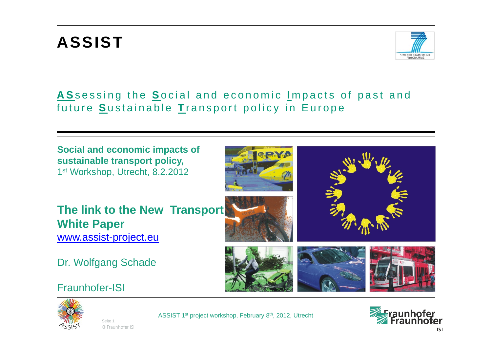# **ASSIST**



#### **A S**sessing the **S**ocial and economic **I** mpacts of past and future **S**ustainable **T** ransport policy in Europe

**Social and economic impacts of sustainable transport policy,** 1<sup>st</sup> Workshop, Utrecht, 8.2.2012

**The link to the New Transport White Paper** [www.assist-project.eu](http://www.assist-project.eu/)

Dr. Wolfgang Schade

#### Fraunhofer-ISI



© Fraunhofer ISI Seite 1



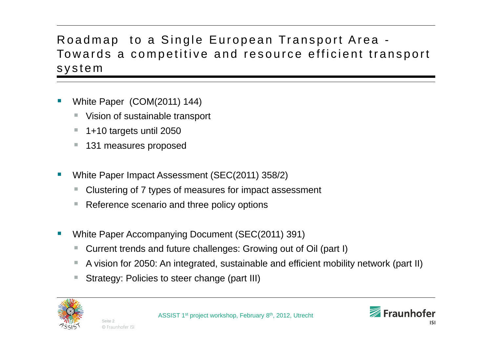### Roadmap to a Single European Transport Area - Towards a competitive and resource efficient transport system

- **Contract Contract Contract Contract Contract Contract Contract Contract Contract Contract Contract Contract Co**  White Paper (COM(2011) 144)
	- Vision of sustainable transport
	- 1+10 targets until 2050
	- 131 measures proposed

© Fraunhofer ISI Seite 2

- **Contract Contract Contract Contract Contract Contract Contract Contract Contract Contract Contract Contract Co**  White Paper Impact Assessment (SEC(2011) 358/2)
	- Clustering of 7 types of measures for impact assessment
	- Reference scenario and three policy options
- Ξ White Paper Accompanying Document (SEC(2011) 391)
	- Current trends and future challenges: Growing out of Oil (part I)
	- A vision for 2050: An integrated, sustainable and efficient mobility network (part II)
	- n. Strategy: Policies to steer change (part III)



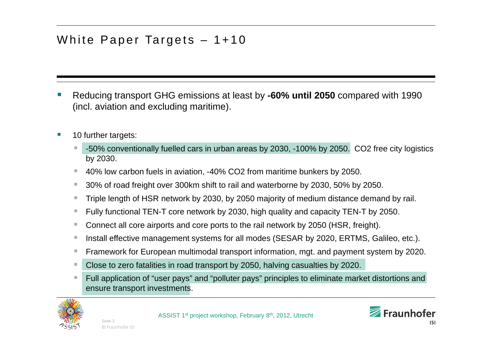### White Paper Targets – 1+10

- Reducing transport GHG emissions at least by **-60% until 2050** compared with 1990 (incl. aviation and excluding maritime).
- п 10 further targets:
	- н -50% conventionally fuelled cars in urban areas by 2030, -100% by 2050. CO2 free city logistics by 2030.
	- 40% low carbon fuels in aviation, -40% CO2 from maritime bunkers by 2050.
	- $\mathcal{L}_{\mathcal{A}}$ 30% of road freight over 300km shift to rail and waterborne by 2030, 50% by 2050.
	- $\mathcal{L}_{\mathcal{A}}$ Triple length of HSR network by 2030, by 2050 majority of medium distance demand by rail.
	- $\mathcal{L}_{\mathcal{A}}$ Fully functional TEN-T core network by 2030, high quality and capacity TEN-T by 2050.
	- г Connect all core airports and core ports to the rail network by 2050 (HSR, freight).
	- m. Install effective management systems for all modes (SESAR by 2020, ERTMS, Galileo, etc.).
	- $\mathcal{L}_{\mathcal{A}}$ Framework for European multimodal transport information, mgt. and payment system by 2020.
	- Close to zero fatalities in road transport by 2050, halving casualties by 2020.
	- $\mathcal{L}_{\mathcal{A}}$  Full application of "user pays" and "polluter pays" principles to eliminate market distortions and ensure transport investments.

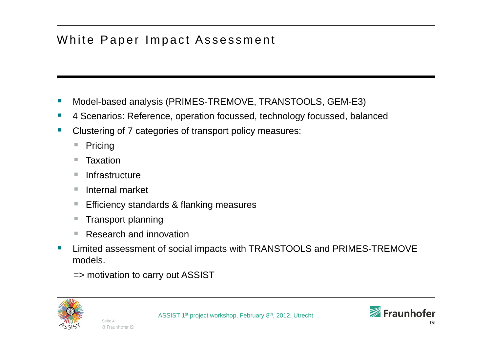### White Paper Impact Assessment

- **Contract Contract Contract Contract Contract Contract Contract Contract Contract Contract Contract Contract Co** Model-based analysis (PRIMES-TREMOVE, TRANSTOOLS, GEM-E3)
- $\sim$ 4 Scenarios: Reference, operation focussed, technology focussed, balanced
- Ξ Clustering of 7 categories of transport policy measures:
	- **College** Pricing
	- $\mathcal{L}_{\mathcal{A}}$ **Taxation**
	- **College Infrastructure**
	- $\sim$ Internal market
	- $\mathcal{C}$ Efficiency standards & flanking measures
	- $\mathcal{L}_{\mathcal{A}}$ Transport planning
	- Τ Research and innovation
- **Contract Contract Contract Contract Contract Contract Contract Contract Contract Contract Contract Contract Co**  Limited assessment of social impacts with TRANSTOOLS and PRIMES-TREMOVE models.

=> motivation to carry out ASSIST



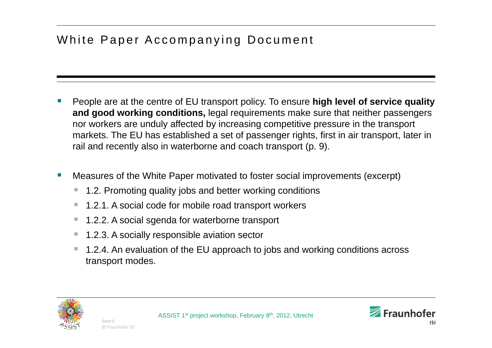## White Paper Accompanying Document

- **Contract Contract Contract Contract Contract Contract Contract Contract Contract Contract Contract Contract Co**  People are at the centre of EU transport policy. To ensure **high level of service quality and good working conditions,** legal requirements make sure that neither passengers nor workers are unduly affected by increasing competitive pressure in the transport markets. The EU has established a set of passenger rights, first in air transport, later in rail and recently also in waterborne and coach transport (p. 9).
- Measures of the White Paper motivated to foster social improvements (excerpt)
	- 1.2. Promoting quality jobs and better working conditions
	- $\mathcal{L}_{\mathcal{A}}$ 1.2.1. A social code for mobile road transport workers
	- $\mathcal{L}_{\mathcal{A}}$ 1.2.2. A social sgenda for waterborne transport
	- $\mathcal{L}_{\mathcal{A}}$ 1.2.3. A socially responsible aviation sector
	- $\mathcal{L}_{\mathcal{A}}$  1.2.4. An evaluation of the EU approach to jobs and working conditions across transport modes.



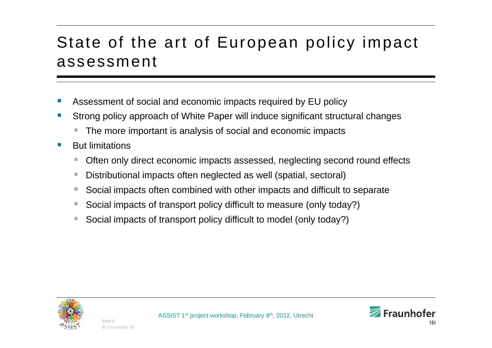## State of the art of European policy impact assessment

- **Contract Contract Contract Contract Contract Contract Contract Contract Contract Contract Contract Contract Co** Assessment of social and economic impacts required by EU policy
- Strong policy approach of White Paper will induce significant structural changes
	- The more important is analysis of social and economic impacts
- **T**  But limitations
	- Τ Often only direct economic impacts assessed, neglecting second round effects
	- Distributional impacts often neglected as well (spatial, sectoral)
	- $\mathcal{L}_{\mathcal{A}}$ Social impacts often combined with other impacts and difficult to separate
	- Social impacts of transport policy difficult to measure (only today?)
	- **COL** Social impacts of transport policy difficult to model (only today?)